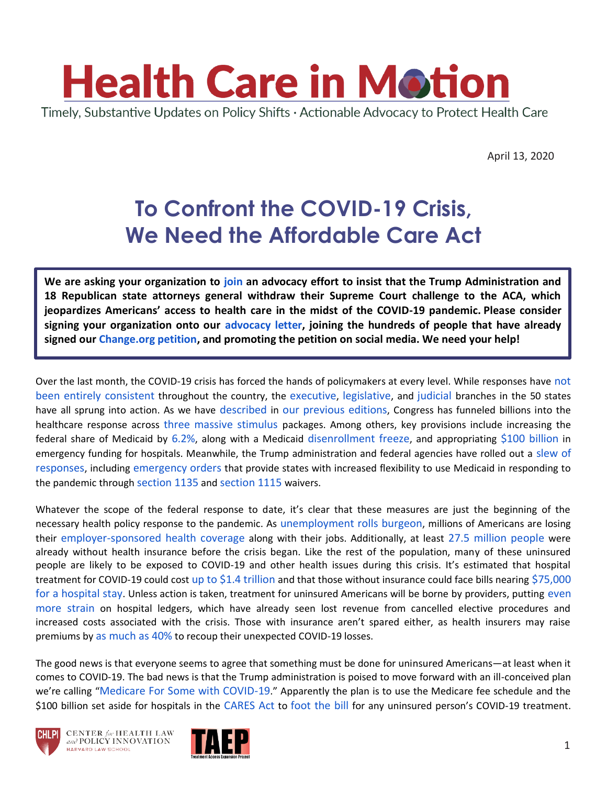

April 13, 2020

# **To Confront the COVID-19 Crisis, We Need the Affordable Care Act**

**We are asking your organization to [join](https://forms.gle/BxvcGqwHraN3qvyi8) an advocacy effort to insist that the Trump Administration and 18 Republican state attorneys general withdraw their Supreme Court challenge to the ACA, which jeopardizes Americans' access to health care in the midst of the COVID-19 pandemic. Please consider signing your organization onto our [advocacy letter,](https://forms.gle/MKqPT6Pt5mFPBZFWA) joining the hundreds of people that have already signed ou[r Change.org petition,](https://www.change.org/p/donald-j-trump-state-ags-the-court-challenge-to-the-aca-endangers-our-healthcare-in-the-midst-of-the-covid-19-crisis-dropthecase) and promoting the petition on social media. We need your help!**

Over the last month, the COVID-19 crisis has forced the hands of policymakers at every level. While responses have [not](https://www.politico.com/news/2020/03/24/coronavirus-state-response-maps-146144)  [been entirely consistent](https://www.politico.com/news/2020/03/24/coronavirus-state-response-maps-146144) throughout the country, the [executive](https://www.nga.org/wp-content/uploads/2020/04/CoronavirusStateActionsChart_3April2020.pdf), [legislative](https://www.ncsl.org/research/health/state-action-on-coronavirus-covid-19.aspx), and [judicial](https://www.ncsc.org/~/media/Files/PDF/Newsroom/Coronavirus-News-Updates-Roundups/Coronavirus%20and%20the%20Courts%20State%20Profiles%204-3-2020.ashx) branches in the 50 states have all sprung into action. As we have [described](https://www.chlpi.org/wp-content/uploads/2013/12/HCIM_3_5_20.pdf) in [our](https://www.chlpi.org/wp-content/uploads/2013/12/HCIM_3_12_20.pdf) [previous](https://www.chlpi.org/wp-content/uploads/2013/12/HCIM_3_20_20.pdf) [editions](https://www.chlpi.org/wp-content/uploads/2013/12/HCIM_3_27_20.pdf), Congress has funneled billions into the healthcare response across [three](https://www.congress.gov/bill/116th-congress/house-bill/6074) [massive](https://www.congress.gov/bill/116th-congress/house-bill/6201) [stimulus](https://www.congress.gov/bill/116th-congress/house-bill/748) packages. Among others, key provisions include increasing the federal share of Medicaid by [6.2%](https://www.chlpi.org/wp-content/uploads/2013/12/HCIM_3_20_20.pdf), along with a Medicaid [disenrollment freeze](https://ccf.georgetown.edu/2020/03/23/families-first-coronavirus-response-act-freezes-disenrollment-in-medicaid/), and appropriating [\\$100 billion](https://www.kff.org/coronavirus-policy-watch/a-look-at-the-100-billion-for-hospitals-in-the-cares-act/) in emergency funding for hospitals. Meanwhile, the Trump administration and federal agencies have rolled out a [slew of](https://www.usa.gov/coronavirus)  [responses](https://www.usa.gov/coronavirus), including [emergency orders](https://www.whitehouse.gov/briefings-statements/letter-president-donald-j-trump-emergency-determination-stafford-act/) that provide states with increased flexibility to use Medicaid in responding to the pandemic through [section 1135](https://www.medicaid.gov/resources-for-states/disaster-response-toolkit/using-section-1115-demonstrations-for-disaster-response/index.html) and [section 1115](https://www.medicaid.gov/resources-for-states/disaster-response-toolkit/using-section-1115-demonstrations-for-disaster-response/index.html) waivers.

Whatever the scope of the federal response to date, it's clear that these measures are just the beginning of the necessary health policy response to the pandemic. As [unemployment rolls burgeon](https://www.cnn.com/2020/03/20/politics/state-unemployment-benefits-coronavirus/index.html), millions of Americans are losing their [employer-sponsored health coverage](https://www.epi.org/blog/3-5-million-workers-likely-lost-their-employer-provided-health-insurance-in-the-past-two-weeks/) along with their jobs. Additionally, at least [27.5 million people](https://www.census.gov/library/publications/2019/demo/p60-267.html) were already without health insurance before the crisis began. Like the rest of the population, many of these uninsured people are likely to be exposed to COVID-19 and other health issues during this crisis. It's estimated that hospital treatment for COVID-19 could cost [up to \\$1.4 trillion](https://s3.amazonaws.com/media2.fairhealth.org/brief/asset/COVID-19%20-%20The%20Projected%20Economic%20Impact%20of%20the%20COVID-19%20Pandemic%20on%20the%20US%20Healthcare%20System.pdf) and that those without insurance could face bills nearing [\\$75,000](https://www.cnbc.com/2020/04/01/covid-19-hospital-bills-could-cost-uninsured-americans-up-to-75000.html)  [for a hospital stay](https://www.cnbc.com/2020/04/01/covid-19-hospital-bills-could-cost-uninsured-americans-up-to-75000.html). Unless action is taken, treatment for uninsured Americans will be borne by providers, putting [even](https://www.modernhealthcare.com/providers/canceled-surgeries-covid-19-patients-could-be-double-whammy-hospitals)  [more strain](https://www.modernhealthcare.com/providers/canceled-surgeries-covid-19-patients-could-be-double-whammy-hospitals) on hospital ledgers, which have already seen lost revenue from cancelled elective procedures and increased costs associated with the crisis. Those with insurance aren't spared either, as health insurers may raise premiums by [as much as 40%](https://www.salon.com/2020/04/05/health-care-insurers-expected-to-raise-premiums-by-as-much-as-40-to-recoup-coronavirus-losses/) to recoup their unexpected COVID-19 losses.

The good news is that everyone seems to agree that something must be done for uninsured Americans—at least when it comes to COVID-19. The bad news is that the Trump administration is poised to move forward with an ill-conceived plan we're calling "[Medicare For Some with COVID-19](https://www.npr.org/sections/coronavirus-live-updates/2020/04/03/827121928/medicare-for-all-coronavirus-patients-but-who-exactly-qualifies)." Apparently the plan is to use the Medicare fee schedule and the \$100 billion set aside for hospitals in the [CARES Act](https://www.congress.gov/bill/116th-congress/house-bill/748/text) to [foot the bill](https://www.modernhealthcare.com/politics-policy/hhs-use-coronavirus-relief-funds-pay-care-uninsured) for any uninsured person's COVID-19 treatment.



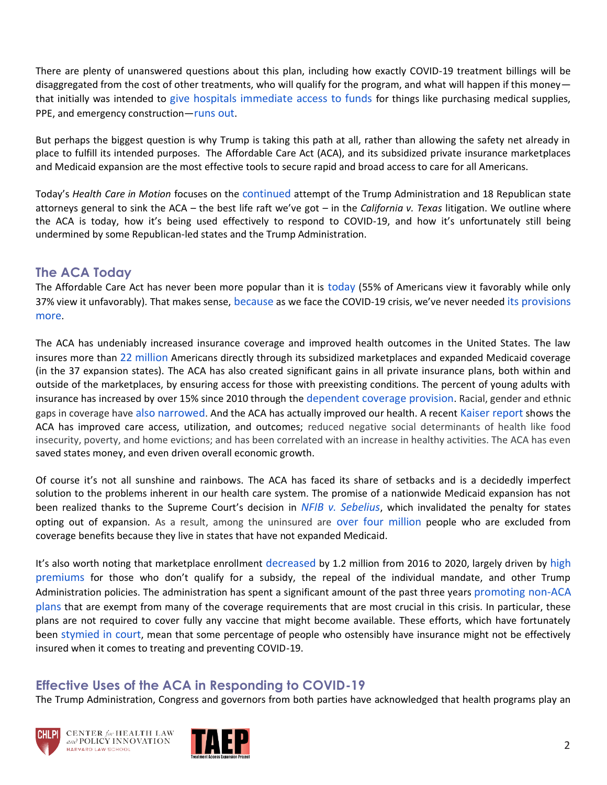There are plenty of unanswered questions about this plan, including how exactly COVID-19 treatment billings will be disaggregated from the cost of other treatments, who will qualify for the program, and what will happen if this money that initially was intended to [give hospitals immediate access to funds](https://www.modernhealthcare.com/politics-policy/white-house-considers-using-hospital-relief-funds-pay-uninsured?mkt_tok=eyJpIjoiWWpZNVpHTmhOV0V5TXpsaiIsInQiOiI2bU53OGJyUUNMZ0FhZncwN3BxVFhhUEF4TzRmQXhFWWdJOFhUVWtKSWo5YzFOeVp5c2hiY3N2VDZKbUdHd2NSTmFhMFN3R2h3bUZycnVWd09kY3Q5REE0VnNxbGVhY0djNzE2dyszblhpbUFmckJiTTJyXC9KVGFDTTFDOWlKS0gifQ%3D%3D) for things like purchasing medical supplies, PPE, and emergency construction—[runs out](https://www.kff.org/report-section/estimated-cost-of-treating-the-uninsured-hospitalized-with-covid-19-issue-brief/).

But perhaps the biggest question is why Trump is taking this path at all, rather than allowing the safety net already in place to fulfill its intended purposes. The Affordable Care Act (ACA), and its subsidized private insurance marketplaces and Medicaid expansion are the most effective tools to secure rapid and broad access to care for all Americans.

Today's *Health Care in Motion* focuses on the [continued](https://www.oyez.org/cases/2020/19-840) attempt of the Trump Administration and 18 Republican state attorneys general to sink the ACA – the best life raft we've got – in the *California v. Texas* litigation. We outline where the ACA is today, how it's being used effectively to respond to COVID-19, and how it's unfortunately still being undermined by some Republican-led states and the Trump Administration.

#### **The ACA Today**

The Affordable Care Act has never been more popular than it is [today](https://www.kff.org/health-reform/poll-finding/kff-health-tracking-poll-february-2020/) (55% of Americans view it favorably while only 37% view it unfavorably). That makes sense, [because](https://www.kff.org/health-reform/issue-brief/coronavirus-response-and-the-affordable-care-act/) as we face the COVID-19 crisis, we've never needed [its provisions](https://www.usatoday.com/story/opinion/2020/03/23/obamacare-10th-anniversary-amid-coronavirus-column/2888511001/) [more](https://www.usatoday.com/story/opinion/2020/03/23/obamacare-10th-anniversary-amid-coronavirus-column/2888511001/).

The ACA has undeniably increased insurance coverage and improved health outcomes in the United States. The law insures more than [22](https://www.cbo.gov/system/files/2019-05/55085-HealthCoverageSubsidies_0.pdf) [million](https://www.census.gov/library/publications/2019/demo/p60-267.html) Americans directly through its subsidized marketplaces and expanded Medicaid coverage (in the 37 expansion states). The ACA has also created significant gains in all private insurance plans, both within and outside of the marketplaces, by ensuring access for those with preexisting conditions. The percent of young adults with insurance has increased by over 15% since 2010 through the [dependent coverage provision](https://doi.org/10.1016/j.jhealeco.2017.02.004). Racial, gender and ethnic gaps in coverage have [also narrowed](https://time.com/5806188/obamacare-anniversary/). And the ACA has actually improved our health. A recent [Kaiser report](https://www.kff.org/medicaid/report/the-effects-of-medicaid-expansion-under-the-aca-updated-findings-from-a-literature-review/) shows the ACA has improved care access, utilization, and outcomes; reduced negative social determinants of health like food insecurity, poverty, and home evictions; and has been correlated with an increase in healthy activities. The ACA has even saved states money, and even driven overall economic growth.

Of course it's not all sunshine and rainbows. The ACA has faced its share of setbacks and is a decidedly imperfect solution to the problems inherent in our health care system. The promise of a nationwide Medicaid expansion has not been realized thanks to the Supreme Court's decision in *[NFIB v. Sebelius](https://www.oyez.org/cases/2011/11-393)*, which invalidated the penalty for states opting out of expansion. As a result, among the uninsured are [over four million](https://www.kff.org/medicaid/issue-brief/the-coverage-gap-uninsured-poor-adults-in-states-that-do-not-expand-medicaid/) people who are excluded from coverage benefits because they live in states that have not expanded Medicaid.

It's also worth noting that marketplace enrollment [decreased](https://www.vox.com/policy-and-politics/2020/1/6/21052264/obamacare-still-in-effect-mandate-gone-voxcare) by 1.2 million from 2016 to 2020, largely driven by high [premiums](https://www.healthcare.gov/health-plan-information-2019/) for those who don't qualify for a subsidy, the repeal of the individual mandate, and other Trump Administration policies. The administration has spent a significant amount of the past three years [promoting non-ACA](https://www.washingtonexaminer.com/policy/healthcare/trump-administration-to-allow-businesses-individuals-to-band-together-for-health-insurance)  [plans](https://www.washingtonexaminer.com/policy/healthcare/trump-administration-to-allow-businesses-individuals-to-band-together-for-health-insurance) that are exempt from many of the coverage requirements that are most crucial in this crisis. In particular, these plans are not required to cover fully any vaccine that might become available. These efforts, which have fortunately been [stymied in court](https://www.healthaffairs.org/do/10.1377/hblog20190329.393236/full/), mean that some percentage of people who ostensibly have insurance might not be effectively insured when it comes to treating and preventing COVID-19.

### **Effective Uses of the ACA in Responding to COVID-19**

The Trump Administration, Congress and governors from both parties have acknowledged that health programs play an





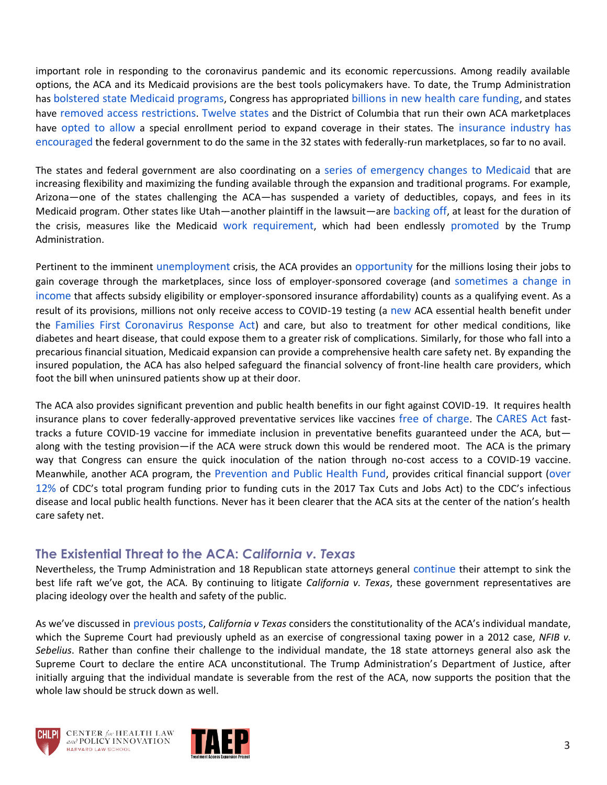important role in responding to the coronavirus pandemic and its economic repercussions. Among readily available options, the ACA and its Medicaid provisions are the best tools policymakers have. To date, the Trump Administration has [bolstered state Medicaid programs](https://www.latimes.com/politics/story/2020-03-13/trump-administration-blocks-states-use-medicaid-respond-coronavirus-crisis), Congress has appropriated [billions in new health care funding](https://www.washingtonpost.com/business/2020/03/25/trillion-dollar-stimulus-checks/), and states have [removed access restrictions](https://www.modernhealthcare.com/medicaid/utah-suspends-medicaid-work-requirement-due-covid-19?mkt_tok=eyJpIjoiWWpZNVpHTmhOV0V5TXpsaiIsInQiOiI2bU53OGJyUUNMZ0FhZncwN3BxVFhhUEF4TzRmQXhFWWdJOFhUVWtKSWo5YzFOeVp5c2hiY3N2VDZKbUdHd2NSTmFhMFN3R2h3bUZycnVWd09kY3Q5REE0VnNxbGVhY0djNzE2dyszblhpbUFmckJiTTJyXC9KVGFDTTFDOWlKS0gifQ%3D%3D). [Twelve states](https://powertodecide.org/news/12-states-are-starting-special-enrollment-period) and the District of Columbia that run their own ACA marketplaces have [opted to allow](https://khn.org/news/insurance-expansion-coronavirus-outbreak-9-states-reopen-marketplaces/) a special enrollment period to expand coverage in their states. The [insurance industry has](https://www.ahip.org/wp-content/uploads/AHIP-and-BCBSA-Legislative-Recommendations-03.19.2020.pdf)  [encouraged](https://www.ahip.org/wp-content/uploads/AHIP-and-BCBSA-Legislative-Recommendations-03.19.2020.pdf) the federal government to do the same in the 32 states with federally-run marketplaces, so far to no avail.

The states and federal government are also coordinating on a [series of emergency changes to Medicaid](https://www.kff.org/medicaid/issue-brief/medicaid-emergency-authority-tracker-approved-state-actions-to-address-covid-19/) that are increasing flexibility and maximizing the funding available through the expansion and traditional programs. For example, Arizona—one of the states challenging the ACA—has suspended a variety of deductibles, copays, and fees in its Medicaid program. Other states like Utah—another plaintiff in the lawsuit—are [backing off](https://www.modernhealthcare.com/medicaid/utah-suspends-medicaid-work-requirement-due-covid-19), at least for the duration of the crisis, measures like the Medicaid [work requirement](https://medicaid.utah.gov/expansion/), which had been endlessly [promoted](https://www.pewtrusts.org/en/research-and-analysis/blogs/stateline/2019/10/10/trump-wants-states-to-experiment-with-medicaid-up-to-a-point) by the Trump Administration.

Pertinent to the imminent [unemployment](https://www.nytimes.com/2020/04/06/podcasts/the-daily/coronavirus-unemployment-crisis.html) crisis, the ACA provides an [opportunity](http://acasignups.net/20/03/20/important-many-will-qualify-sep-whether-hcgov-announces-one-covid19-or-not) for the millions losing their jobs to gain coverage through the marketplaces, since loss of employer-sponsored coverage (and [sometimes a change in](http://www.healthreformbeyondthebasics.org/wp-content/uploads/2019/03/REFERENCE-CHART_Special-Enrollment-Periods_2019.pdf)  [income](http://www.healthreformbeyondthebasics.org/wp-content/uploads/2019/03/REFERENCE-CHART_Special-Enrollment-Periods_2019.pdf) that affects subsidy eligibility or employer-sponsored insurance affordability) counts as a qualifying event. As a result of its provisions, millions not only receive access to COVID-19 testing (a [new](https://www.kff.org/private-insurance/issue-brief/private-health-coverage-of-covid-19-key-facts-and-issues/) ACA essential health benefit under the [Families First Coronavirus Response Act](https://www.congress.gov/bill/116th-congress/house-bill/6201)) and care, but also to treatment for other medical conditions, like diabetes and heart disease, that could expose them to a greater risk of complications. Similarly, for those who fall into a precarious financial situation, Medicaid expansion can provide a comprehensive health care safety net. By expanding the insured population, the ACA has also helped safeguard the financial solvency of front-line health care providers, which foot the bill when uninsured patients show up at their door.

The ACA also provides significant prevention and public health benefits in our fight against COVID-19. It requires health insurance plans to cover federally-approved preventative services like vaccines [free of charge](https://www.kff.org/report-section/preventive-service-tracker-immunizations/). The [CARES Act](https://www.congress.gov/bill/116th-congress/house-bill/748/text#H0184B7EE6CAB4D279A7D876A13C80F3A) fasttracks a future COVID-19 vaccine for immediate inclusion in preventative benefits guaranteed under the ACA, but along with the testing provision—if the ACA were struck down this would be rendered moot. The ACA is the primary way that Congress can ensure the quick inoculation of the nation through no-cost access to a COVID-19 vaccine. Meanwhile, another ACA program, the [Prevention and Public Health Fund](https://www.tfah.org/report-details/prevention-and-public-health-fund-detailed-information/), provides critical financial support ([over](https://www.cdc.gov/funding/documents/CDC-PPHF-Funding-Impact.pdf)  [12%](https://www.cdc.gov/funding/documents/CDC-PPHF-Funding-Impact.pdf) of CDC's total program funding prior to funding cuts in the 2017 Tax Cuts and Jobs Act) to the CDC's infectious disease and local public health functions. Never has it been clearer that the ACA sits at the center of the nation's health care safety net.

### **The Existential Threat to the ACA:** *California v. Texas*

Nevertheless, the Trump Administration and 18 Republican state attorneys general [continue](https://www.kff.org/health-reform/issue-brief/explaining-texas-v-u-s-a-guide-to-the-case-challenging-the-aca/) their attempt to sink the best life raft we've got, the ACA. By continuing to litigate *California v. Texas*, these government representatives are placing ideology over the health and safety of the public.

As we've discussed in [previous](https://www.chlpi.org/wp-content/uploads/2013/12/HCIM_12_17_2018.pdf) [posts](https://www.chlpi.org/wp-content/uploads/2013/12/HCIM_3_5_20.pdf), *California v Texas* considers the constitutionality of the ACA's individual mandate, which the Supreme Court had previously upheld as an exercise of congressional taxing power in a 2012 case, *NFIB v. Sebelius*. Rather than confine their challenge to the individual mandate, the 18 state attorneys general also ask the Supreme Court to declare the entire ACA unconstitutional. The Trump Administration's Department of Justice, after initially arguing that the individual mandate is severable from the rest of the ACA, now supports the position that the whole law should be struck down as well.